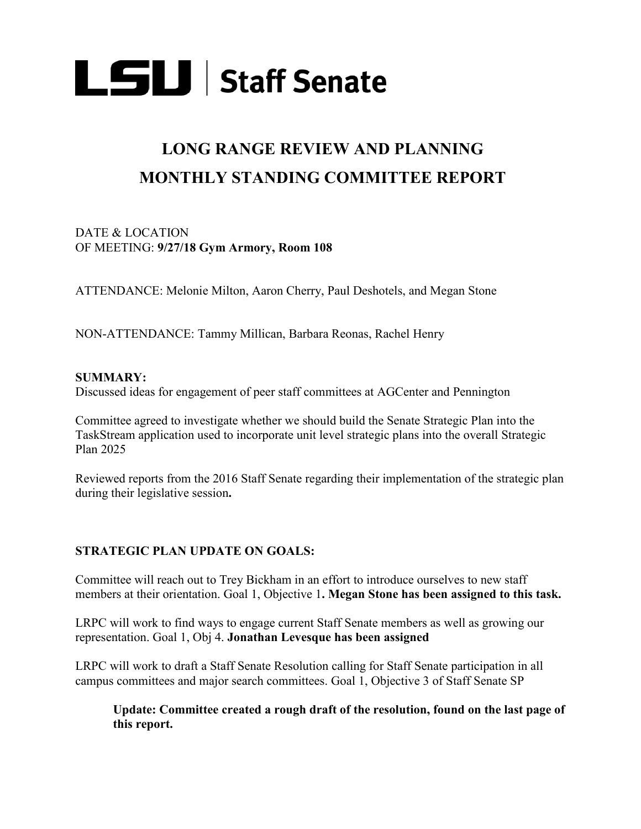

# **LONG RANGE REVIEW AND PLANNING MONTHLY STANDING COMMITTEE REPORT**

## DATE & LOCATION OF MEETING: **9/27/18 Gym Armory, Room 108**

ATTENDANCE: Melonie Milton, Aaron Cherry, Paul Deshotels, and Megan Stone

NON-ATTENDANCE: Tammy Millican, Barbara Reonas, Rachel Henry

## **SUMMARY:**

Discussed ideas for engagement of peer staff committees at AGCenter and Pennington

Committee agreed to investigate whether we should build the Senate Strategic Plan into the TaskStream application used to incorporate unit level strategic plans into the overall Strategic Plan 2025

Reviewed reports from the 2016 Staff Senate regarding their implementation of the strategic plan during their legislative session**.**

# **STRATEGIC PLAN UPDATE ON GOALS:**

Committee will reach out to Trey Bickham in an effort to introduce ourselves to new staff members at their orientation. Goal 1, Objective 1**. Megan Stone has been assigned to this task.**

LRPC will work to find ways to engage current Staff Senate members as well as growing our representation. Goal 1, Obj 4. **Jonathan Levesque has been assigned**

LRPC will work to draft a Staff Senate Resolution calling for Staff Senate participation in all campus committees and major search committees. Goal 1, Objective 3 of Staff Senate SP

**Update: Committee created a rough draft of the resolution, found on the last page of this report.**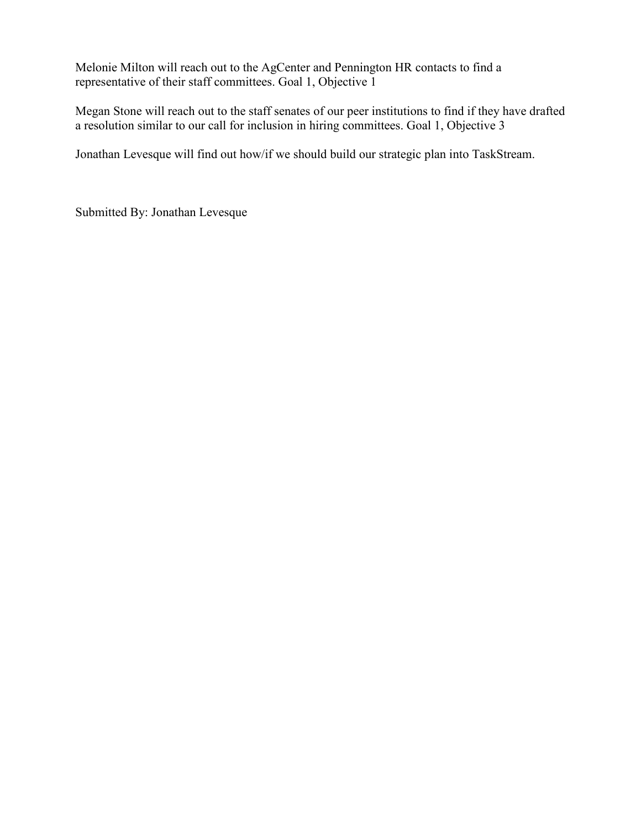Melonie Milton will reach out to the AgCenter and Pennington HR contacts to find a representative of their staff committees. Goal 1, Objective 1

Megan Stone will reach out to the staff senates of our peer institutions to find if they have drafted a resolution similar to our call for inclusion in hiring committees. Goal 1, Objective 3

Jonathan Levesque will find out how/if we should build our strategic plan into TaskStream.

Submitted By: Jonathan Levesque